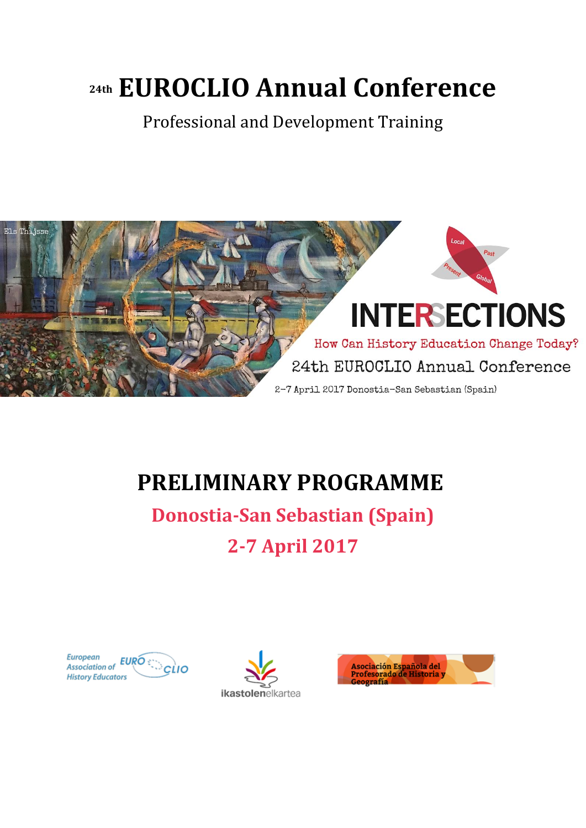# **24th EUROCLIO Annual Conference**

Professional and Development Training



## **PRELIMINARY PROGRAMME**

**Donostia-San Sebastian (Spain) 2-7 April 2017**





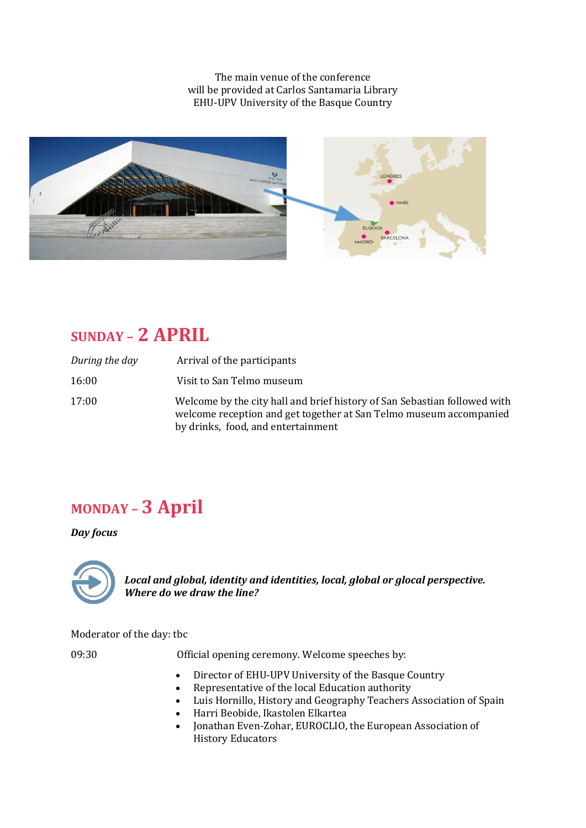The main venue of the conference will be provided at Carlos Santamaria Library EHU-UPV University of the Basque Country



### **SUNDAY – 2 APRIL**

| During the day | Arrival of the participants                                                                                                                                                           |
|----------------|---------------------------------------------------------------------------------------------------------------------------------------------------------------------------------------|
| 16:00          | Visit to San Telmo museum                                                                                                                                                             |
| 17:00          | Welcome by the city hall and brief history of San Sebastian followed with<br>welcome reception and get together at San Telmo museum accompanied<br>by drinks, food, and entertainment |

### **MONDAY – 3 April**

#### *Day focus*



*Local and global, identity and identities, local, global or glocal perspective. Where do we draw the line?*

Moderator of the day: tbc

09:30 Official opening ceremony. Welcome speeches by:

- Director of EHU-UPV University of the Basque Country
- Representative of the local Education authority
- Luis Hornillo, History and Geography Teachers Association of Spain
- Harri Beobide, Ikastolen Elkartea
- Jonathan Even-Zohar, EUROCLIO, the European Association of History Educators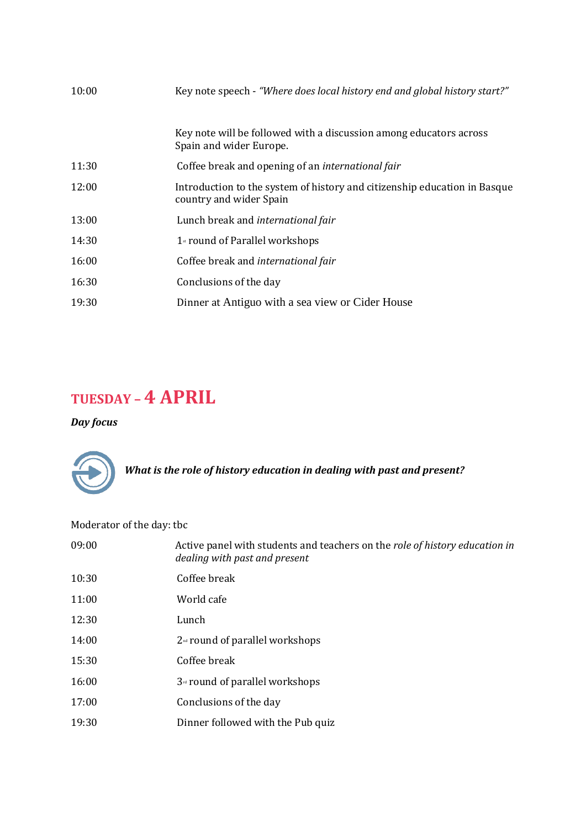| 10:00 | Key note speech - "Where does local history end and global history start?"                           |
|-------|------------------------------------------------------------------------------------------------------|
|       | Key note will be followed with a discussion among educators across<br>Spain and wider Europe.        |
| 11:30 | Coffee break and opening of an international fair                                                    |
| 12:00 | Introduction to the system of history and citizenship education in Basque<br>country and wider Spain |
| 13:00 | Lunch break and international fair                                                                   |
| 14:30 | $1*$ round of Parallel workshops                                                                     |
| 16:00 | Coffee break and international fair                                                                  |
| 16:30 | Conclusions of the day                                                                               |
| 19:30 | Dinner at Antiguo with a sea view or Cider House                                                     |

### **TUESDAY – 4 APRIL**

#### *Day focus*



*What is the role of history education in dealing with past and present?*

Moderator of the day: tbc

| 09:00 | Active panel with students and teachers on the role of history education in<br>dealing with past and present |
|-------|--------------------------------------------------------------------------------------------------------------|
| 10:30 | Coffee break                                                                                                 |
| 11:00 | World cafe                                                                                                   |
| 12:30 | Lunch                                                                                                        |
| 14:00 | $2nd$ round of parallel workshops                                                                            |
| 15:30 | Coffee break                                                                                                 |
| 16:00 | 3 <sup>rd</sup> round of parallel workshops                                                                  |
| 17:00 | Conclusions of the day                                                                                       |
| 19:30 | Dinner followed with the Pub quiz                                                                            |
|       |                                                                                                              |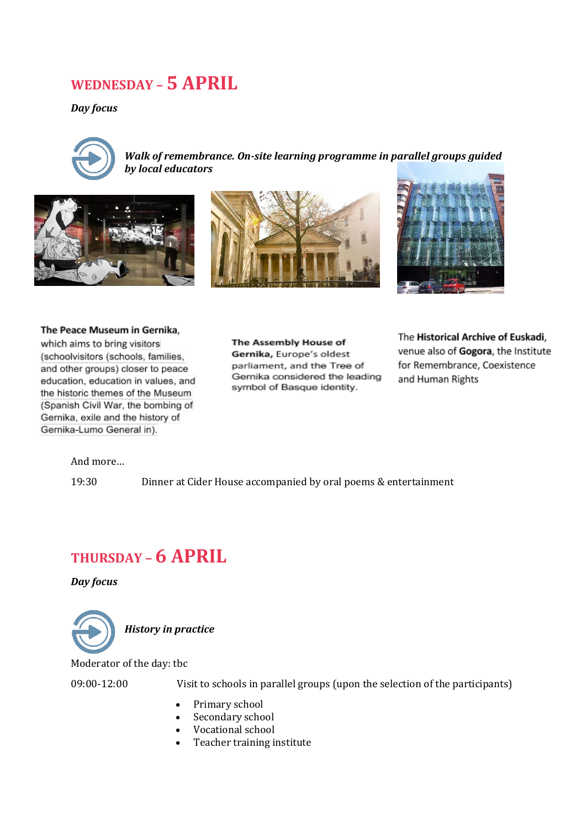### **WEDNESDAY – 5 APRIL**

*Day focus*



*Walk of remembrance. On-site learning programme in parallel groups guided by local educators*







The Peace Museum in Gernika. which aims to bring visitors (schoolvisitors (schools, families, and other groups) closer to peace education, education in values, and

the historic themes of the Museum (Spanish Civil War, the bombing of Gernika, exile and the history of Gernika-Lumo General in).

The Assembly House of Gernika, Europe's oldest parliament, and the Tree of Gernika considered the leading symbol of Basque identity.

The Historical Archive of Euskadi, venue also of Gogora, the Institute for Remembrance, Coexistence and Human Rights

And more…

19:30 Dinner at Cider House accompanied by oral poems & entertainment

### **THURSDAY – 6 APRIL**

*Day focus*



Moderator of the day: tbc

09:00-12:00 Visit to schools in parallel groups (upon the selection of the participants)

- Primary school
- Secondary school
- Vocational school
- Teacher training institute